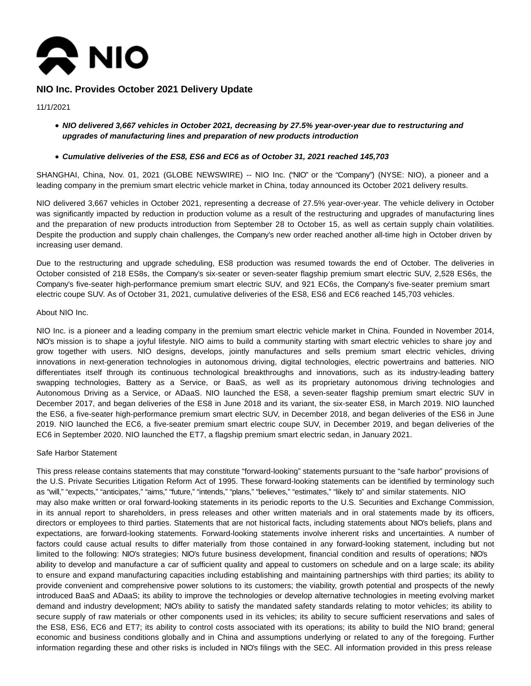

## **NIO Inc. Provides October 2021 Delivery Update**

11/1/2021

- **NIO delivered 3,667 vehicles in October 2021, decreasing by 27.5% year-over-year due to restructuring and upgrades of manufacturing lines and preparation of new products introduction**
- **Cumulative deliveries of the ES8, ES6 and EC6 as of October 31, 2021 reached 145,703**

SHANGHAI, China, Nov. 01, 2021 (GLOBE NEWSWIRE) -- NIO Inc. ("NIO" or the "Company") (NYSE: NIO), a pioneer and a leading company in the premium smart electric vehicle market in China, today announced its October 2021 delivery results.

NIO delivered 3,667 vehicles in October 2021, representing a decrease of 27.5% year-over-year. The vehicle delivery in October was significantly impacted by reduction in production volume as a result of the restructuring and upgrades of manufacturing lines and the preparation of new products introduction from September 28 to October 15, as well as certain supply chain volatilities. Despite the production and supply chain challenges, the Company's new order reached another all-time high in October driven by increasing user demand.

Due to the restructuring and upgrade scheduling, ES8 production was resumed towards the end of October. The deliveries in October consisted of 218 ES8s, the Company's six-seater or seven-seater flagship premium smart electric SUV, 2,528 ES6s, the Company's five-seater high-performance premium smart electric SUV, and 921 EC6s, the Company's five-seater premium smart electric coupe SUV. As of October 31, 2021, cumulative deliveries of the ES8, ES6 and EC6 reached 145,703 vehicles.

## About NIO Inc.

NIO Inc. is a pioneer and a leading company in the premium smart electric vehicle market in China. Founded in November 2014, NIO's mission is to shape a joyful lifestyle. NIO aims to build a community starting with smart electric vehicles to share joy and grow together with users. NIO designs, develops, jointly manufactures and sells premium smart electric vehicles, driving innovations in next-generation technologies in autonomous driving, digital technologies, electric powertrains and batteries. NIO differentiates itself through its continuous technological breakthroughs and innovations, such as its industry-leading battery swapping technologies, Battery as a Service, or BaaS, as well as its proprietary autonomous driving technologies and Autonomous Driving as a Service, or ADaaS. NIO launched the ES8, a seven-seater flagship premium smart electric SUV in December 2017, and began deliveries of the ES8 in June 2018 and its variant, the six-seater ES8, in March 2019. NIO launched the ES6, a five-seater high-performance premium smart electric SUV, in December 2018, and began deliveries of the ES6 in June 2019. NIO launched the EC6, a five-seater premium smart electric coupe SUV, in December 2019, and began deliveries of the EC6 in September 2020. NIO launched the ET7, a flagship premium smart electric sedan, in January 2021.

## Safe Harbor Statement

This press release contains statements that may constitute "forward-looking" statements pursuant to the "safe harbor" provisions of the U.S. Private Securities Litigation Reform Act of 1995. These forward-looking statements can be identified by terminology such as "will," "expects," "anticipates," "aims," "future," "intends," "plans," "believes," "estimates," "likely to" and similar statements. NIO may also make written or oral forward-looking statements in its periodic reports to the U.S. Securities and Exchange Commission, in its annual report to shareholders, in press releases and other written materials and in oral statements made by its officers, directors or employees to third parties. Statements that are not historical facts, including statements about NIO's beliefs, plans and expectations, are forward-looking statements. Forward-looking statements involve inherent risks and uncertainties. A number of factors could cause actual results to differ materially from those contained in any forward-looking statement, including but not limited to the following: NIO's strategies; NIO's future business development, financial condition and results of operations; NIO's ability to develop and manufacture a car of sufficient quality and appeal to customers on schedule and on a large scale; its ability to ensure and expand manufacturing capacities including establishing and maintaining partnerships with third parties; its ability to provide convenient and comprehensive power solutions to its customers; the viability, growth potential and prospects of the newly introduced BaaS and ADaaS; its ability to improve the technologies or develop alternative technologies in meeting evolving market demand and industry development; NIO's ability to satisfy the mandated safety standards relating to motor vehicles; its ability to secure supply of raw materials or other components used in its vehicles; its ability to secure sufficient reservations and sales of the ES8, ES6, EC6 and ET7; its ability to control costs associated with its operations; its ability to build the NIO brand; general economic and business conditions globally and in China and assumptions underlying or related to any of the foregoing. Further information regarding these and other risks is included in NIO's filings with the SEC. All information provided in this press release